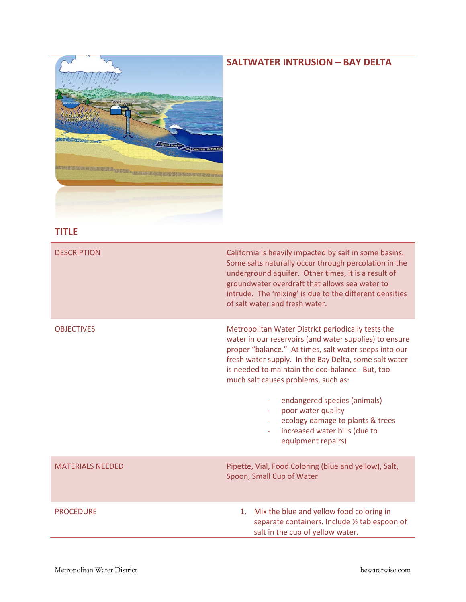## **SALTWATER INTRUSION – BAY DELTA**



## **TITLE**

| <b>DESCRIPTION</b>      | California is heavily impacted by salt in some basins.<br>Some salts naturally occur through percolation in the<br>underground aquifer. Other times, it is a result of<br>groundwater overdraft that allows sea water to<br>intrude. The 'mixing' is due to the different densities<br>of salt water and fresh water.                                                                                                                                                     |
|-------------------------|---------------------------------------------------------------------------------------------------------------------------------------------------------------------------------------------------------------------------------------------------------------------------------------------------------------------------------------------------------------------------------------------------------------------------------------------------------------------------|
| <b>OBJECTIVES</b>       | Metropolitan Water District periodically tests the<br>water in our reservoirs (and water supplies) to ensure<br>proper "balance." At times, salt water seeps into our<br>fresh water supply. In the Bay Delta, some salt water<br>is needed to maintain the eco-balance. But, too<br>much salt causes problems, such as:<br>endangered species (animals)<br>poor water quality<br>ecology damage to plants & trees<br>increased water bills (due to<br>equipment repairs) |
| <b>MATERIALS NEEDED</b> | Pipette, Vial, Food Coloring (blue and yellow), Salt,<br>Spoon, Small Cup of Water                                                                                                                                                                                                                                                                                                                                                                                        |
| <b>PROCEDURE</b>        | Mix the blue and yellow food coloring in<br>1.<br>separate containers. Include 1/2 tablespoon of<br>salt in the cup of yellow water.                                                                                                                                                                                                                                                                                                                                      |